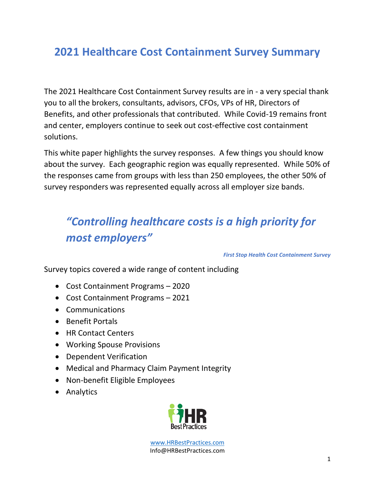# **2021 Healthcare Cost Containment Survey Summary**

The 2021 Healthcare Cost Containment Survey results are in - a very special thank you to all the brokers, consultants, advisors, CFOs, VPs of HR, Directors of Benefits, and other professionals that contributed. While Covid-19 remains front and center, employers continue to seek out cost-effective cost containment solutions.

This white paper highlights the survey responses. A few things you should know about the survey. Each geographic region was equally represented. While 50% of the responses came from groups with less than 250 employees, the other 50% of survey responders was represented equally across all employer size bands.

# *"Controlling healthcare costs is a high priority for most employers"*

*First Stop Health Cost Containment Survey* 

Survey topics covered a wide range of content including

- Cost Containment Programs 2020
- Cost Containment Programs 2021
- Communications
- Benefit Portals
- HR Contact Centers
- Working Spouse Provisions
- Dependent Verification
- Medical and Pharmacy Claim Payment Integrity
- Non-benefit Eligible Employees
- Analytics

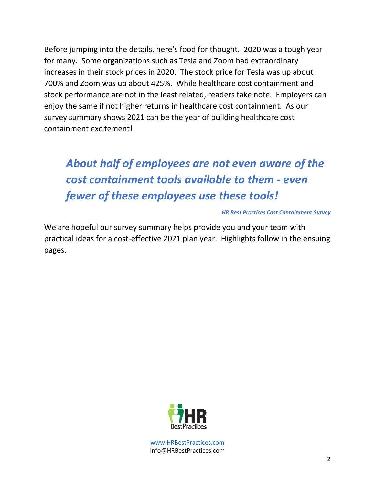Before jumping into the details, here's food for thought. 2020 was a tough year for many. Some organizations such as Tesla and Zoom had extraordinary increases in their stock prices in 2020. The stock price for Tesla was up about 700% and Zoom was up about 425%. While healthcare cost containment and stock performance are not in the least related, readers take note. Employers can enjoy the same if not higher returns in healthcare cost containment. As our survey summary shows 2021 can be the year of building healthcare cost containment excitement!

# *About half of employees are not even aware of the cost containment tools available to them - even fewer of these employees use these tools!*

#### *HR Best Practices Cost Containment Survey*

We are hopeful our survey summary helps provide you and your team with practical ideas for a cost-effective 2021 plan year. Highlights follow in the ensuing pages.

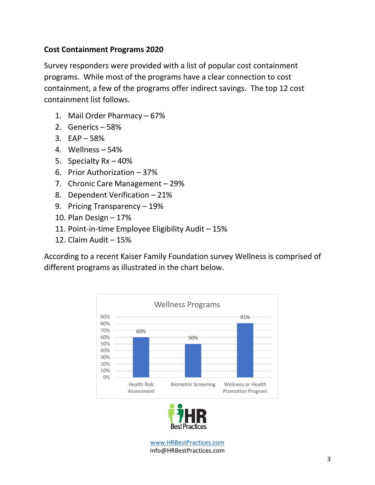# **Cost Containment Programs 2020**

Survey responders were provided with a list of popular cost containment programs. While most of the programs have a clear connection to cost containment, a few of the programs offer indirect savings. The top 12 cost containment list follows.

- 1. Mail Order Pharmacy 67%
- 2. Generics 58%
- 3. EAP 58%
- 4. Wellness 54%
- 5. Specialty Rx 40%
- 6. Prior Authorization 37%
- 7. Chronic Care Management 29%
- 8. Dependent Verification 21%
- 9. Pricing Transparency 19%
- 10. Plan Design 17%
- 11. Point-in-time Employee Eligibility Audit 15%
- 12. Claim Audit 15%

According to a recent Kaiser Family Foundation survey Wellness is comprised of different programs as illustrated in the chart below.



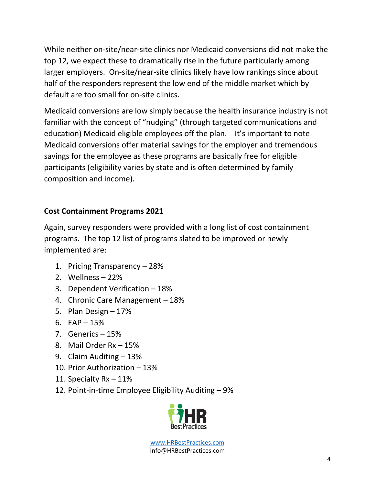While neither on-site/near-site clinics nor Medicaid conversions did not make the top 12, we expect these to dramatically rise in the future particularly among larger employers. On-site/near-site clinics likely have low rankings since about half of the responders represent the low end of the middle market which by default are too small for on-site clinics.

Medicaid conversions are low simply because the health insurance industry is not familiar with the concept of "nudging" (through targeted communications and education) Medicaid eligible employees off the plan. It's important to note Medicaid conversions offer material savings for the employer and tremendous savings for the employee as these programs are basically free for eligible participants (eligibility varies by state and is often determined by family composition and income).

# **Cost Containment Programs 2021**

Again, survey responders were provided with a long list of cost containment programs. The top 12 list of programs slated to be improved or newly implemented are:

- 1. Pricing Transparency 28%
- 2. Wellness 22%
- 3. Dependent Verification 18%
- 4. Chronic Care Management 18%
- 5. Plan Design 17%
- 6.  $EAP 15%$
- 7. Generics 15%
- 8. Mail Order Rx 15%
- 9. Claim Auditing 13%
- 10. Prior Authorization 13%
- 11. Specialty Rx 11%
- 12. Point-in-time Employee Eligibility Auditing 9%

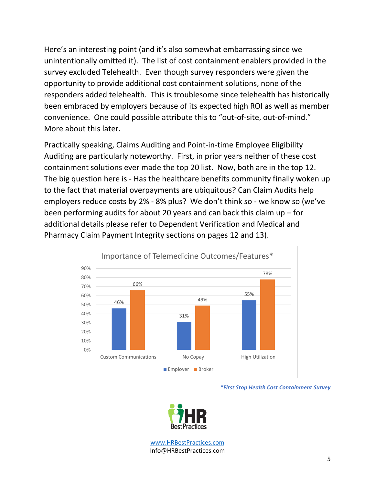Here's an interesting point (and it's also somewhat embarrassing since we unintentionally omitted it). The list of cost containment enablers provided in the survey excluded Telehealth. Even though survey responders were given the opportunity to provide additional cost containment solutions, none of the responders added telehealth. This is troublesome since telehealth has historically been embraced by employers because of its expected high ROI as well as member convenience. One could possible attribute this to "out-of-site, out-of-mind." More about this later.

Practically speaking, Claims Auditing and Point-in-time Employee Eligibility Auditing are particularly noteworthy. First, in prior years neither of these cost containment solutions ever made the top 20 list. Now, both are in the top 12. The big question here is - Has the healthcare benefits community finally woken up to the fact that material overpayments are ubiquitous? Can Claim Audits help employers reduce costs by 2% - 8% plus? We don't think so - we know so (we've been performing audits for about 20 years and can back this claim up – for additional details please refer to Dependent Verification and Medical and Pharmacy Claim Payment Integrity sections on pages 12 and 13).



*\*First Stop Health Cost Containment Survey*

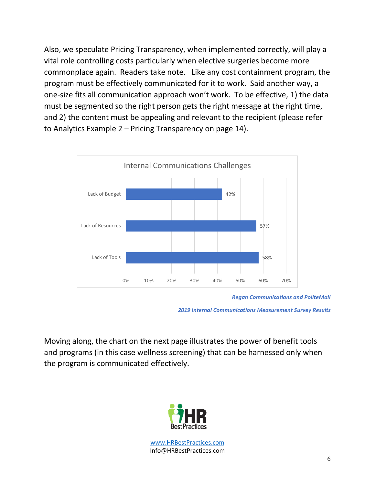Also, we speculate Pricing Transparency, when implemented correctly, will play a vital role controlling costs particularly when elective surgeries become more commonplace again. Readers take note. Like any cost containment program, the program must be effectively communicated for it to work. Said another way, a one-size fits all communication approach won't work. To be effective, 1) the data must be segmented so the right person gets the right message at the right time, and 2) the content must be appealing and relevant to the recipient (please refer to Analytics Example 2 – Pricing Transparency on page 14).



*Regan Communications and PoliteMail*

*2019 Internal Communications Measurement Survey Results*

Moving along, the chart on the next page illustrates the power of benefit tools and programs (in this case wellness screening) that can be harnessed only when the program is communicated effectively.

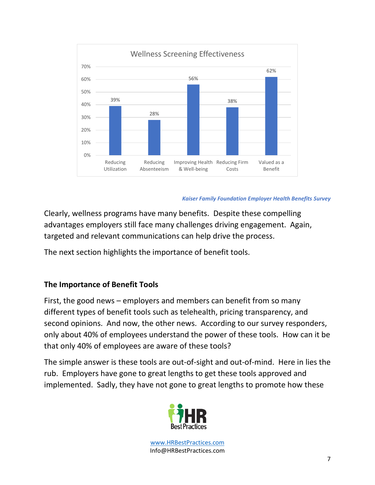

#### *Kaiser Family Foundation Employer Health Benefits Survey*

Clearly, wellness programs have many benefits. Despite these compelling advantages employers still face many challenges driving engagement. Again, targeted and relevant communications can help drive the process.

The next section highlights the importance of benefit tools.

# **The Importance of Benefit Tools**

First, the good news – employers and members can benefit from so many different types of benefit tools such as telehealth, pricing transparency, and second opinions. And now, the other news. According to our survey responders, only about 40% of employees understand the power of these tools. How can it be that only 40% of employees are aware of these tools?

The simple answer is these tools are out-of-sight and out-of-mind. Here in lies the rub. Employers have gone to great lengths to get these tools approved and implemented. Sadly, they have not gone to great lengths to promote how these

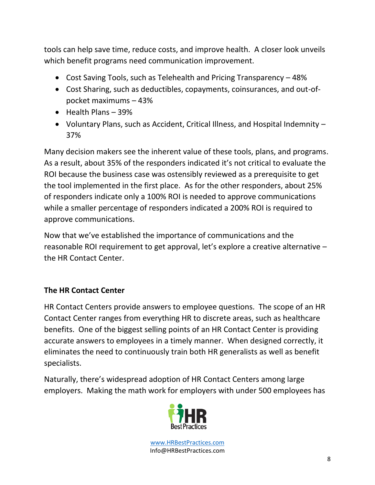tools can help save time, reduce costs, and improve health. A closer look unveils which benefit programs need communication improvement.

- Cost Saving Tools, such as Telehealth and Pricing Transparency 48%
- Cost Sharing, such as deductibles, copayments, coinsurances, and out-ofpocket maximums – 43%
- Health Plans 39%
- Voluntary Plans, such as Accident, Critical Illness, and Hospital Indemnity 37%

Many decision makers see the inherent value of these tools, plans, and programs. As a result, about 35% of the responders indicated it's not critical to evaluate the ROI because the business case was ostensibly reviewed as a prerequisite to get the tool implemented in the first place. As for the other responders, about 25% of responders indicate only a 100% ROI is needed to approve communications while a smaller percentage of responders indicated a 200% ROI is required to approve communications.

Now that we've established the importance of communications and the reasonable ROI requirement to get approval, let's explore a creative alternative – the HR Contact Center.

# **The HR Contact Center**

HR Contact Centers provide answers to employee questions. The scope of an HR Contact Center ranges from everything HR to discrete areas, such as healthcare benefits. One of the biggest selling points of an HR Contact Center is providing accurate answers to employees in a timely manner. When designed correctly, it eliminates the need to continuously train both HR generalists as well as benefit specialists.

Naturally, there's widespread adoption of HR Contact Centers among large employers. Making the math work for employers with under 500 employees has

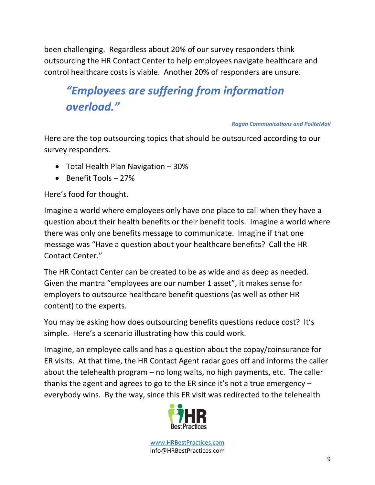been challenging. Regardless about 20% of our survey responders think outsourcing the HR Contact Center to help employees navigate healthcare and control healthcare costs is viable. Another 20% of responders are unsure.

# *"Employees are suffering from information overload."*

#### *Ragan Communications and PoliteMail*

Here are the top outsourcing topics that should be outsourced according to our survey responders.

- Total Health Plan Navigation 30%
- Benefit Tools 27%

Here's food for thought.

Imagine a world where employees only have one place to call when they have a question about their health benefits or their benefit tools. Imagine a world where there was only one benefits message to communicate. Imagine if that one message was "Have a question about your healthcare benefits? Call the HR Contact Center."

The HR Contact Center can be created to be as wide and as deep as needed. Given the mantra "employees are our number 1 asset", it makes sense for employers to outsource healthcare benefit questions (as well as other HR content) to the experts.

You may be asking how does outsourcing benefits questions reduce cost? It's simple. Here's a scenario illustrating how this could work.

Imagine, an employee calls and has a question about the copay/coinsurance for ER visits. At that time, the HR Contact Agent radar goes off and informs the caller about the telehealth program – no long waits, no high payments, etc. The caller thanks the agent and agrees to go to the ER since it's not a true emergency – everybody wins. By the way, since this ER visit was redirected to the telehealth

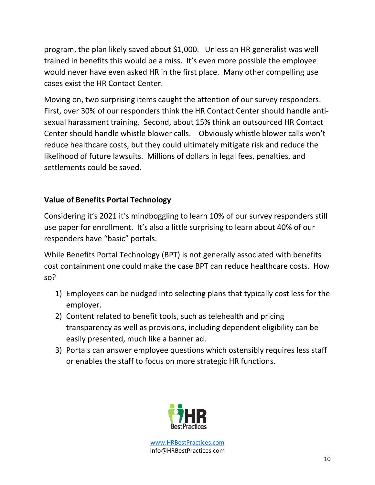program, the plan likely saved about \$1,000. Unless an HR generalist was well trained in benefits this would be a miss. It's even more possible the employee would never have even asked HR in the first place. Many other compelling use cases exist the HR Contact Center.

Moving on, two surprising items caught the attention of our survey responders. First, over 30% of our responders think the HR Contact Center should handle antisexual harassment training. Second, about 15% think an outsourced HR Contact Center should handle whistle blower calls. Obviously whistle blower calls won't reduce healthcare costs, but they could ultimately mitigate risk and reduce the likelihood of future lawsuits. Millions of dollars in legal fees, penalties, and settlements could be saved.

# **Value of Benefits Portal Technology**

Considering it's 2021 it's mindboggling to learn 10% of our survey responders still use paper for enrollment. It's also a little surprising to learn about 40% of our responders have "basic" portals.

While Benefits Portal Technology (BPT) is not generally associated with benefits cost containment one could make the case BPT can reduce healthcare costs. How so?

- 1) Employees can be nudged into selecting plans that typically cost less for the employer.
- 2) Content related to benefit tools, such as telehealth and pricing transparency as well as provisions, including dependent eligibility can be easily presented, much like a banner ad.
- 3) Portals can answer employee questions which ostensibly requires less staff or enables the staff to focus on more strategic HR functions.

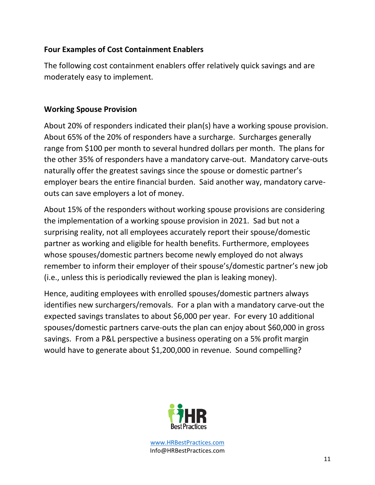# **Four Examples of Cost Containment Enablers**

The following cost containment enablers offer relatively quick savings and are moderately easy to implement.

### **Working Spouse Provision**

About 20% of responders indicated their plan(s) have a working spouse provision. About 65% of the 20% of responders have a surcharge. Surcharges generally range from \$100 per month to several hundred dollars per month. The plans for the other 35% of responders have a mandatory carve-out. Mandatory carve-outs naturally offer the greatest savings since the spouse or domestic partner's employer bears the entire financial burden. Said another way, mandatory carveouts can save employers a lot of money.

About 15% of the responders without working spouse provisions are considering the implementation of a working spouse provision in 2021. Sad but not a surprising reality, not all employees accurately report their spouse/domestic partner as working and eligible for health benefits. Furthermore, employees whose spouses/domestic partners become newly employed do not always remember to inform their employer of their spouse's/domestic partner's new job (i.e., unless this is periodically reviewed the plan is leaking money).

Hence, auditing employees with enrolled spouses/domestic partners always identifies new surchargers/removals. For a plan with a mandatory carve-out the expected savings translates to about \$6,000 per year. For every 10 additional spouses/domestic partners carve-outs the plan can enjoy about \$60,000 in gross savings. From a P&L perspective a business operating on a 5% profit margin would have to generate about \$1,200,000 in revenue. Sound compelling?

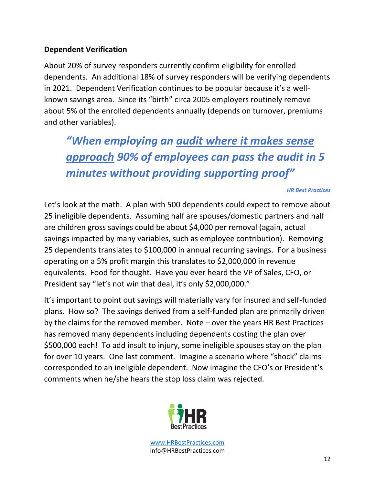# **Dependent Verification**

About 20% of survey responders currently confirm eligibility for enrolled dependents. An additional 18% of survey responders will be verifying dependents in 2021. Dependent Verification continues to be popular because it's a wellknown savings area. Since its "birth" circa 2005 employers routinely remove about 5% of the enrolled dependents annually (depends on turnover, premiums and other variables).

*"When employing an audit where it makes sense approach 90% of employees can pass the audit in 5 minutes without providing supporting proof"*

*HR Best Practices*

Let's look at the math. A plan with 500 dependents could expect to remove about 25 ineligible dependents. Assuming half are spouses/domestic partners and half are children gross savings could be about \$4,000 per removal (again, actual savings impacted by many variables, such as employee contribution). Removing 25 dependents translates to \$100,000 in annual recurring savings. For a business operating on a 5% profit margin this translates to \$2,000,000 in revenue equivalents. Food for thought. Have you ever heard the VP of Sales, CFO, or President say "let's not win that deal, it's only \$2,000,000."

It's important to point out savings will materially vary for insured and self-funded plans. How so? The savings derived from a self-funded plan are primarily driven by the claims for the removed member. Note – over the years HR Best Practices has removed many dependents including dependents costing the plan over \$500,000 each! To add insult to injury, some ineligible spouses stay on the plan for over 10 years. One last comment. Imagine a scenario where "shock" claims corresponded to an ineligible dependent. Now imagine the CFO's or President's comments when he/she hears the stop loss claim was rejected.

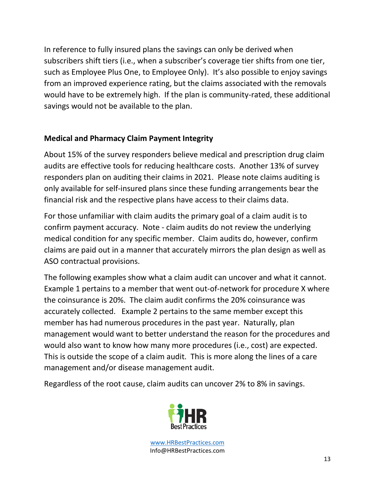In reference to fully insured plans the savings can only be derived when subscribers shift tiers (i.e., when a subscriber's coverage tier shifts from one tier, such as Employee Plus One, to Employee Only). It's also possible to enjoy savings from an improved experience rating, but the claims associated with the removals would have to be extremely high. If the plan is community-rated, these additional savings would not be available to the plan.

# **Medical and Pharmacy Claim Payment Integrity**

About 15% of the survey responders believe medical and prescription drug claim audits are effective tools for reducing healthcare costs. Another 13% of survey responders plan on auditing their claims in 2021. Please note claims auditing is only available for self-insured plans since these funding arrangements bear the financial risk and the respective plans have access to their claims data.

For those unfamiliar with claim audits the primary goal of a claim audit is to confirm payment accuracy. Note - claim audits do not review the underlying medical condition for any specific member. Claim audits do, however, confirm claims are paid out in a manner that accurately mirrors the plan design as well as ASO contractual provisions.

The following examples show what a claim audit can uncover and what it cannot. Example 1 pertains to a member that went out-of-network for procedure X where the coinsurance is 20%. The claim audit confirms the 20% coinsurance was accurately collected. Example 2 pertains to the same member except this member has had numerous procedures in the past year. Naturally, plan management would want to better understand the reason for the procedures and would also want to know how many more procedures (i.e., cost) are expected. This is outside the scope of a claim audit. This is more along the lines of a care management and/or disease management audit.

Regardless of the root cause, claim audits can uncover 2% to 8% in savings.

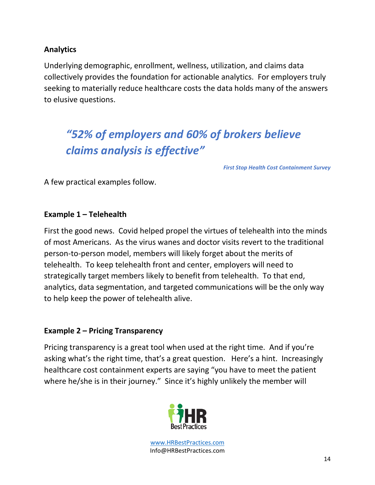# **Analytics**

Underlying demographic, enrollment, wellness, utilization, and claims data collectively provides the foundation for actionable analytics. For employers truly seeking to materially reduce healthcare costs the data holds many of the answers to elusive questions.

# *"52% of employers and 60% of brokers believe claims analysis is effective"*

*First Stop Health Cost Containment Survey* 

A few practical examples follow.

### **Example 1 – Telehealth**

First the good news. Covid helped propel the virtues of telehealth into the minds of most Americans. As the virus wanes and doctor visits revert to the traditional person-to-person model, members will likely forget about the merits of telehealth. To keep telehealth front and center, employers will need to strategically target members likely to benefit from telehealth. To that end, analytics, data segmentation, and targeted communications will be the only way to help keep the power of telehealth alive.

### **Example 2 – Pricing Transparency**

Pricing transparency is a great tool when used at the right time. And if you're asking what's the right time, that's a great question. Here's a hint. Increasingly healthcare cost containment experts are saying "you have to meet the patient where he/she is in their journey." Since it's highly unlikely the member will

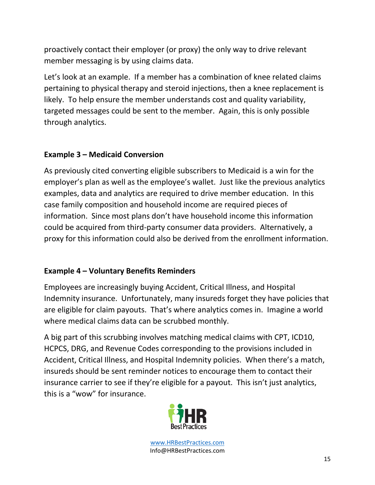proactively contact their employer (or proxy) the only way to drive relevant member messaging is by using claims data.

Let's look at an example. If a member has a combination of knee related claims pertaining to physical therapy and steroid injections, then a knee replacement is likely. To help ensure the member understands cost and quality variability, targeted messages could be sent to the member. Again, this is only possible through analytics.

# **Example 3 – Medicaid Conversion**

As previously cited converting eligible subscribers to Medicaid is a win for the employer's plan as well as the employee's wallet. Just like the previous analytics examples, data and analytics are required to drive member education. In this case family composition and household income are required pieces of information. Since most plans don't have household income this information could be acquired from third-party consumer data providers. Alternatively, a proxy for this information could also be derived from the enrollment information.

# **Example 4 – Voluntary Benefits Reminders**

Employees are increasingly buying Accident, Critical Illness, and Hospital Indemnity insurance. Unfortunately, many insureds forget they have policies that are eligible for claim payouts. That's where analytics comes in. Imagine a world where medical claims data can be scrubbed monthly.

A big part of this scrubbing involves matching medical claims with CPT, ICD10, HCPCS, DRG, and Revenue Codes corresponding to the provisions included in Accident, Critical Illness, and Hospital Indemnity policies. When there's a match, insureds should be sent reminder notices to encourage them to contact their insurance carrier to see if they're eligible for a payout. This isn't just analytics, this is a "wow" for insurance.

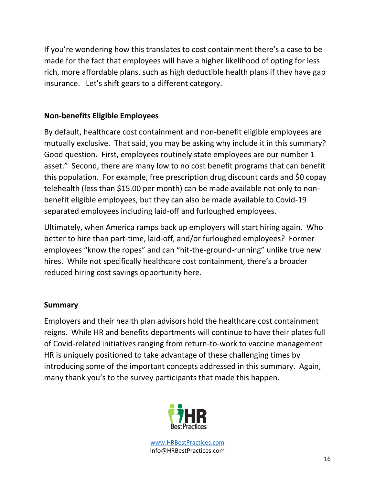If you're wondering how this translates to cost containment there's a case to be made for the fact that employees will have a higher likelihood of opting for less rich, more affordable plans, such as high deductible health plans if they have gap insurance. Let's shift gears to a different category.

# **Non-benefits Eligible Employees**

By default, healthcare cost containment and non-benefit eligible employees are mutually exclusive. That said, you may be asking why include it in this summary? Good question. First, employees routinely state employees are our number 1 asset." Second, there are many low to no cost benefit programs that can benefit this population. For example, free prescription drug discount cards and \$0 copay telehealth (less than \$15.00 per month) can be made available not only to nonbenefit eligible employees, but they can also be made available to Covid-19 separated employees including laid-off and furloughed employees.

Ultimately, when America ramps back up employers will start hiring again. Who better to hire than part-time, laid-off, and/or furloughed employees? Former employees "know the ropes" and can "hit-the-ground-running" unlike true new hires. While not specifically healthcare cost containment, there's a broader reduced hiring cost savings opportunity here.

# **Summary**

Employers and their health plan advisors hold the healthcare cost containment reigns. While HR and benefits departments will continue to have their plates full of Covid-related initiatives ranging from return-to-work to vaccine management HR is uniquely positioned to take advantage of these challenging times by introducing some of the important concepts addressed in this summary. Again, many thank you's to the survey participants that made this happen.